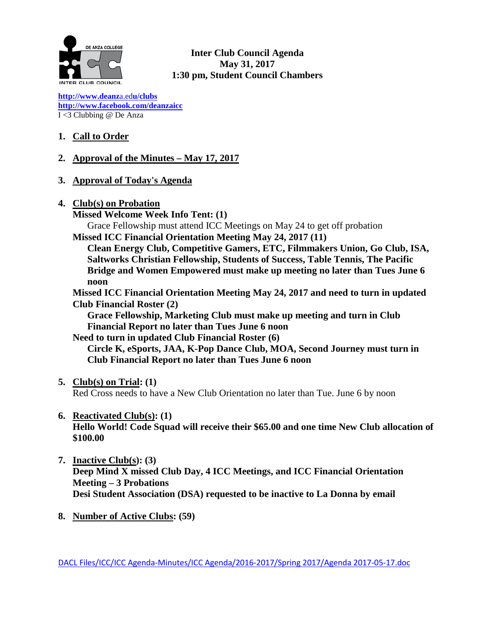

**Inter Club Council Agenda May 31, 2017 1:30 pm, Student Council Chambers**

**[http://www.deanz](http://www.deanza.edu/clubs)**[a.ed](http://www.deanza.edu/clubs)**[u/clubs](http://www.deanza.edu/clubs) [http://www.facebook.com/deanzaicc](http://www.facebook.com/home.php#!/group.php?gid=59034552686)** I <3 Clubbing @ De Anza

# **1. Call to Order**

# **2. Approval of the Minutes – May 17, 2017**

- **3. Approval of Today's Agenda**
- **4. Club(s) on Probation**

**Missed Welcome Week Info Tent: (1)**

Grace Fellowship must attend ICC Meetings on May 24 to get off probation **Missed ICC Financial Orientation Meeting May 24, 2017 (11)**

**Clean Energy Club, Competitive Gamers, ETC, Filmmakers Union, Go Club, ISA, Saltworks Christian Fellowship, Students of Success, Table Tennis, The Pacific Bridge and Women Empowered must make up meeting no later than Tues June 6 noon**

**Missed ICC Financial Orientation Meeting May 24, 2017 and need to turn in updated Club Financial Roster (2)**

**Grace Fellowship, Marketing Club must make up meeting and turn in Club Financial Report no later than Tues June 6 noon**

**Need to turn in updated Club Financial Roster (6)**

**Circle K, eSports, JAA, K-Pop Dance Club, MOA, Second Journey must turn in Club Financial Report no later than Tues June 6 noon**

# **5. Club(s) on Trial: (1)**

Red Cross needs to have a New Club Orientation no later than Tue. June 6 by noon

# **6. Reactivated Club(s): (1)**

**Hello World! Code Squad will receive their \$65.00 and one time New Club allocation of \$100.00** 

**7. Inactive Club(s): (3) Deep Mind X missed Club Day, 4 ICC Meetings, and ICC Financial Orientation Meeting – 3 Probations Desi Student Association (DSA) requested to be inactive to La Donna by email**

# **8. Number of Active Clubs: (59)**

DACL Files/ICC/ICC Agenda-Minutes/ICC Agenda/2016-2017/Spring 2017/Agenda 2017-05-17.doc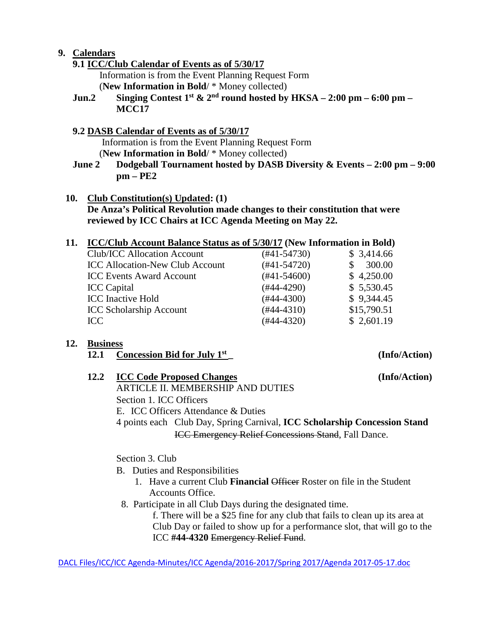# **9. Calendars**

- **9.1 ICC/Club Calendar of Events as of 5/30/17** Information is from the Event Planning Request Form (**New Information in Bold**/ \* Money collected)
- **Jun.2 Singing Contest 1st**  $\&$  2<sup>nd</sup> **round hosted by HKSA** 2:00 pm 6:00 pm **MCC17**

### **9.2 DASB Calendar of Events as of 5/30/17**

Information is from the Event Planning Request Form (**New Information in Bold**/ \* Money collected)

**June 2 Dodgeball Tournament hosted by DASB Diversity & Events – 2:00 pm – 9:00 pm – PE2**

**10. Club Constitution(s) Updated: (1) De Anza's Political Revolution made changes to their constitution that were reviewed by ICC Chairs at ICC Agenda Meeting on May 22.**

### **11. ICC/Club Account Balance Status as of 5/30/17 (New Information in Bold)**

| Club/ICC Allocation Account            | (#41-54730)   | \$3,414.66  |
|----------------------------------------|---------------|-------------|
| <b>ICC Allocation-New Club Account</b> | $(#41-54720)$ | 300.00      |
| <b>ICC Events Award Account</b>        | $(#41-54600)$ | \$4,250.00  |
| <b>ICC</b> Capital                     | (#44-4290)    | \$5,530.45  |
| <b>ICC</b> Inactive Hold               | $(#44-4300)$  | \$9,344.45  |
| <b>ICC Scholarship Account</b>         | $(#44-4310)$  | \$15,790.51 |
| $\mathsf{ICC}$                         | $(#44-4320)$  | \$2,601.19  |
|                                        |               |             |

# **12. Business**

 **12.1** Concession Bid for July 1<sup>st</sup> \_ **(Info/Action)** 

# **12.2 ICC Code Proposed Changes (Info/Action)**

ARTICLE II. MEMBERSHIP AND DUTIES Section 1. ICC Officers E. ICC Officers Attendance & Duties

4 points each Club Day, Spring Carnival, **ICC Scholarship Concession Stand** ICC Emergency Relief Concessions Stand, Fall Dance.

Section 3. Club

- B. Duties and Responsibilities
	- 1. Have a current Club **Financial** Officer Roster on file in the Student Accounts Office.
- 8. Participate in all Club Days during the designated time.

f. There will be a \$25 fine for any club that fails to clean up its area at Club Day or failed to show up for a performance slot, that will go to the ICC **#44-4320** Emergency Relief Fund.

DACL Files/ICC/ICC Agenda-Minutes/ICC Agenda/2016-2017/Spring 2017/Agenda 2017-05-17.doc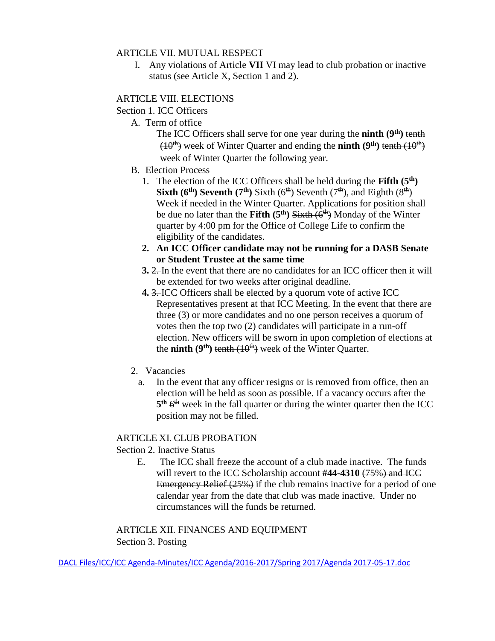#### ARTICLE VII. MUTUAL RESPECT

I. Any violations of Article **VII** VI may lead to club probation or inactive status (see Article X, Section 1 and 2).

#### ARTICLE VIII. ELECTIONS

Section 1. ICC Officers

A. Term of office

The ICC Officers shall serve for one year during the **ninth** (9<sup>th</sup>) tenth  $(10<sup>th</sup>)$  week of Winter Quarter and ending the **ninth**  $(9<sup>th</sup>)$  tenth  $(10<sup>th</sup>)$ week of Winter Quarter the following year.

- B. Election Process
	- 1. The election of the ICC Officers shall be held during the **Fifth (5th) Sixth (6<sup>th</sup>) Seventh (7<sup>th</sup>) Sixth (6<sup>th</sup>) Seventh (7<sup>th</sup>), and Eighth (8<sup>th</sup>)** Week if needed in the Winter Quarter. Applications for position shall be due no later than the Fifth (5<sup>th</sup>) Sixth (6<sup>th</sup>) Monday of the Winter quarter by 4:00 pm for the Office of College Life to confirm the eligibility of the candidates.
	- **2. An ICC Officer candidate may not be running for a DASB Senate or Student Trustee at the same time**
	- **3.** 2. In the event that there are no candidates for an ICC officer then it will be extended for two weeks after original deadline.
	- **4.** 3. ICC Officers shall be elected by a quorum vote of active ICC Representatives present at that ICC Meeting. In the event that there are three (3) or more candidates and no one person receives a quorum of votes then the top two (2) candidates will participate in a run-off election. New officers will be sworn in upon completion of elections at the **ninth** ( $9<sup>th</sup>$ ) <del>tenth ( $10<sup>th</sup>$ )</del> week of the Winter Quarter.
- 2. Vacancies
	- a. In the event that any officer resigns or is removed from office, then an election will be held as soon as possible. If a vacancy occurs after the  $5<sup>th</sup> 6<sup>th</sup>$  week in the fall quarter or during the winter quarter then the ICC position may not be filled.

#### ARTICLE XI. CLUB PROBATION

#### Section 2. Inactive Status

 E. The ICC shall freeze the account of a club made inactive. The funds will revert to the ICC Scholarship account #44-4310 (75%) and ICC Emergency Relief (25%) if the club remains inactive for a period of one calendar year from the date that club was made inactive. Under no circumstances will the funds be returned.

ARTICLE XII. FINANCES AND EQUIPMENT Section 3. Posting

DACL Files/ICC/ICC Agenda-Minutes/ICC Agenda/2016-2017/Spring 2017/Agenda 2017-05-17.doc